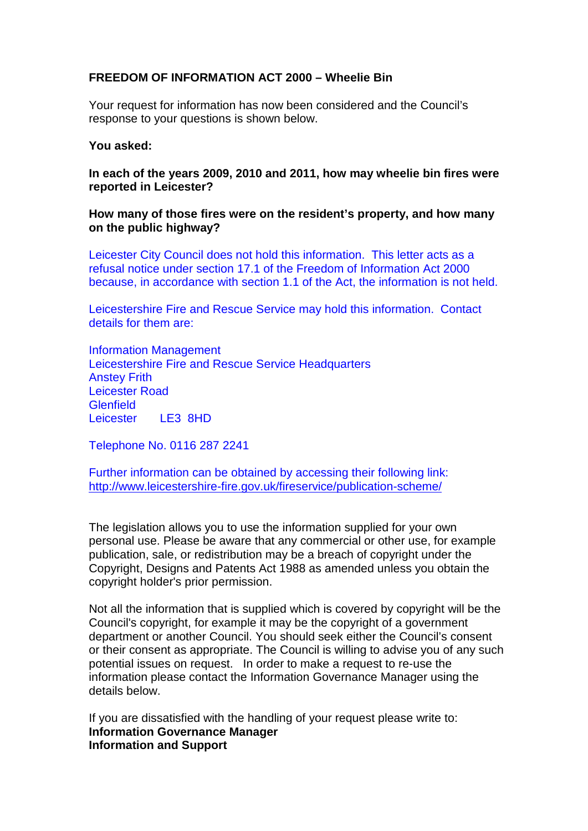## **FREEDOM OF INFORMATION ACT 2000 – Wheelie Bin**

Your request for information has now been considered and the Council's response to your questions is shown below.

## **You asked:**

**In each of the years 2009, 2010 and 2011, how may wheelie bin fires were reported in Leicester?**

**How many of those fires were on the resident's property, and how many on the public highway?**

Leicester City Council does not hold this information. This letter acts as a refusal notice under section 17.1 of the Freedom of Information Act 2000 because, in accordance with section 1.1 of the Act, the information is not held.

Leicestershire Fire and Rescue Service may hold this information. Contact details for them are:

Information Management Leicestershire Fire and Rescue Service Headquarters Anstey Frith Leicester Road **Glenfield** Leicester LE3 8HD

Telephone No. 0116 287 2241

Further information can be obtained by accessing their following link: <http://www.leicestershire-fire.gov.uk/fireservice/publication-scheme/>

The legislation allows you to use the information supplied for your own personal use. Please be aware that any commercial or other use, for example publication, sale, or redistribution may be a breach of copyright under the Copyright, Designs and Patents Act 1988 as amended unless you obtain the copyright holder's prior permission.

Not all the information that is supplied which is covered by copyright will be the Council's copyright, for example it may be the copyright of a government department or another Council. You should seek either the Council's consent or their consent as appropriate. The Council is willing to advise you of any such potential issues on request. In order to make a request to re-use the information please contact the Information Governance Manager using the details below.

If you are dissatisfied with the handling of your request please write to: **Information Governance Manager Information and Support**